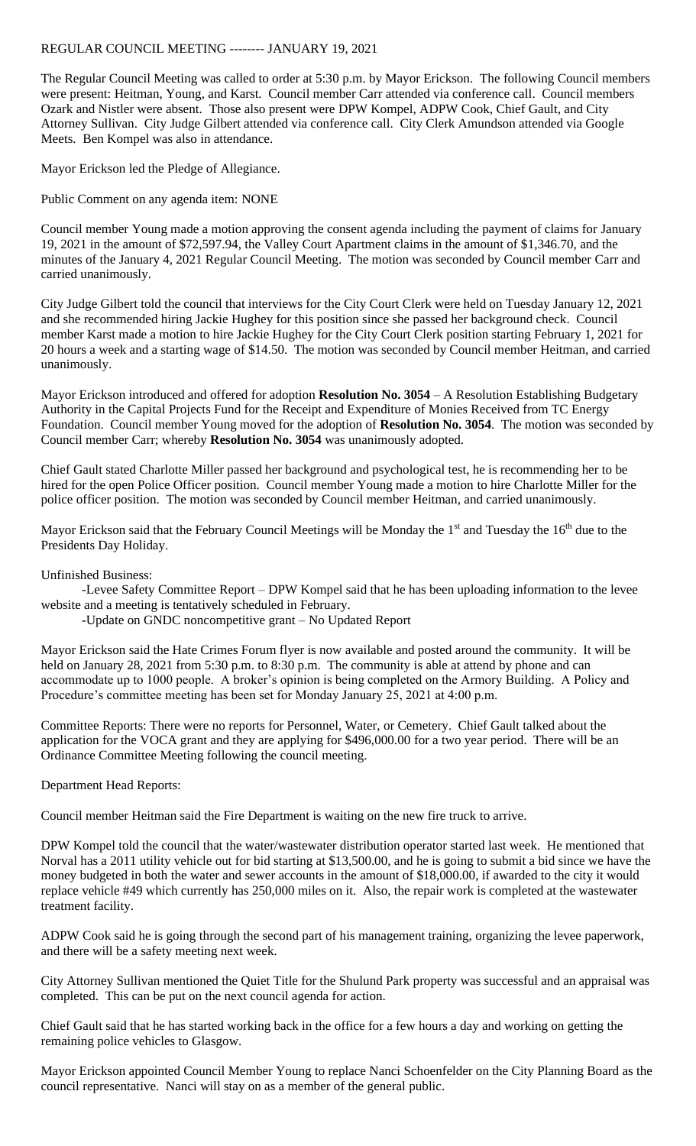## REGULAR COUNCIL MEETING -------- JANUARY 19, 2021

The Regular Council Meeting was called to order at 5:30 p.m. by Mayor Erickson. The following Council members were present: Heitman, Young, and Karst. Council member Carr attended via conference call. Council members Ozark and Nistler were absent. Those also present were DPW Kompel, ADPW Cook, Chief Gault, and City Attorney Sullivan. City Judge Gilbert attended via conference call. City Clerk Amundson attended via Google Meets. Ben Kompel was also in attendance.

Mayor Erickson led the Pledge of Allegiance.

Public Comment on any agenda item: NONE

Council member Young made a motion approving the consent agenda including the payment of claims for January 19, 2021 in the amount of \$72,597.94, the Valley Court Apartment claims in the amount of \$1,346.70, and the minutes of the January 4, 2021 Regular Council Meeting. The motion was seconded by Council member Carr and carried unanimously.

City Judge Gilbert told the council that interviews for the City Court Clerk were held on Tuesday January 12, 2021 and she recommended hiring Jackie Hughey for this position since she passed her background check. Council member Karst made a motion to hire Jackie Hughey for the City Court Clerk position starting February 1, 2021 for 20 hours a week and a starting wage of \$14.50. The motion was seconded by Council member Heitman, and carried unanimously.

Mayor Erickson introduced and offered for adoption **Resolution No. 3054** – A Resolution Establishing Budgetary Authority in the Capital Projects Fund for the Receipt and Expenditure of Monies Received from TC Energy Foundation. Council member Young moved for the adoption of **Resolution No. 3054**. The motion was seconded by Council member Carr; whereby **Resolution No. 3054** was unanimously adopted.

Chief Gault stated Charlotte Miller passed her background and psychological test, he is recommending her to be hired for the open Police Officer position. Council member Young made a motion to hire Charlotte Miller for the police officer position. The motion was seconded by Council member Heitman, and carried unanimously.

Mayor Erickson said that the February Council Meetings will be Monday the 1<sup>st</sup> and Tuesday the 16<sup>th</sup> due to the Presidents Day Holiday.

Unfinished Business:

-Levee Safety Committee Report – DPW Kompel said that he has been uploading information to the levee website and a meeting is tentatively scheduled in February.

-Update on GNDC noncompetitive grant – No Updated Report

Mayor Erickson said the Hate Crimes Forum flyer is now available and posted around the community. It will be held on January 28, 2021 from 5:30 p.m. to 8:30 p.m. The community is able at attend by phone and can accommodate up to 1000 people. A broker's opinion is being completed on the Armory Building. A Policy and Procedure's committee meeting has been set for Monday January 25, 2021 at 4:00 p.m.

Committee Reports: There were no reports for Personnel, Water, or Cemetery. Chief Gault talked about the application for the VOCA grant and they are applying for \$496,000.00 for a two year period. There will be an Ordinance Committee Meeting following the council meeting.

Department Head Reports:

Council member Heitman said the Fire Department is waiting on the new fire truck to arrive.

DPW Kompel told the council that the water/wastewater distribution operator started last week. He mentioned that Norval has a 2011 utility vehicle out for bid starting at \$13,500.00, and he is going to submit a bid since we have the money budgeted in both the water and sewer accounts in the amount of \$18,000.00, if awarded to the city it would replace vehicle #49 which currently has 250,000 miles on it. Also, the repair work is completed at the wastewater treatment facility.

ADPW Cook said he is going through the second part of his management training, organizing the levee paperwork, and there will be a safety meeting next week.

City Attorney Sullivan mentioned the Quiet Title for the Shulund Park property was successful and an appraisal was completed. This can be put on the next council agenda for action.

Chief Gault said that he has started working back in the office for a few hours a day and working on getting the remaining police vehicles to Glasgow.

Mayor Erickson appointed Council Member Young to replace Nanci Schoenfelder on the City Planning Board as the council representative. Nanci will stay on as a member of the general public.